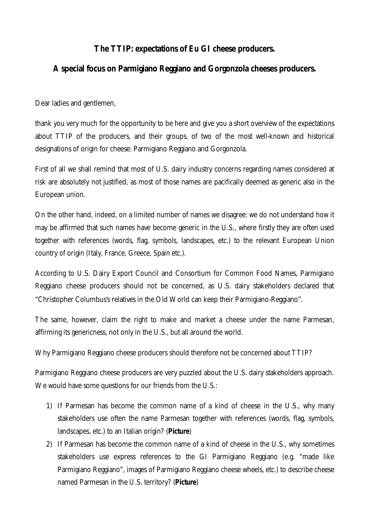## **The TTIP: expectations of Eu GI cheese producers.**

## **A special focus on Parmigiano Reggiano and Gorgonzola cheeses producers.**

Dear ladies and gentlemen,

thank you very much for the opportunity to be here and give you a short overview of the expectations about TTIP of the producers, and their groups, of two of the most well-known and historical designations of origin for cheese: Parmigiano Reggiano and Gorgonzola.

First of all we shall remind that most of U.S. dairy industry concerns regarding names considered at risk are absolutely not justified, as most of those names are pacifically deemed as generic also in the European union.

On the other hand, indeed, on a limited number of names we disagree: we do not understand how it may be affirmed that such names have become generic in the U.S., where firstly they are often used together with references (words, flag, symbols, landscapes, etc.) to the relevant European Union country of origin (Italy, France, Greece, Spain etc.).

According to U.S. Dairy Export Council and Consortium for Common Food Names, Parmigiano Reggiano cheese producers should not be concerned, as U.S. dairy stakeholders declared that "*Christopher Columbus's relatives in the Old World can keep their Parmigiano‐Reggiano*".

The same, however, claim the right to make and market a cheese under the name Parmesan, affirming its genericness, not only in the U.S., but all around the world.

Why Parmigiano Reggiano cheese producers should therefore not be concerned about TTIP?

Parmigiano Reggiano cheese producers are very puzzled about the U.S. dairy stakeholders approach. We would have some questions for our friends from the U.S.:

- 1) If Parmesan has become the common name of a kind of cheese in the U.S., why many stakeholders use often the name Parmesan together with references (words, flag, symbols, landscapes, etc.) to an Italian origin? (**Picture**)
- 2) If Parmesan has become the common name of a kind of cheese in the U.S., why sometimes stakeholders use express references to the GI Parmigiano Reggiano (e.g. "*made like Parmigiano Reggiano*", images of Parmigiano Reggiano cheese wheels, etc.) to describe cheese named Parmesan in the U.S. territory? (**Picture**)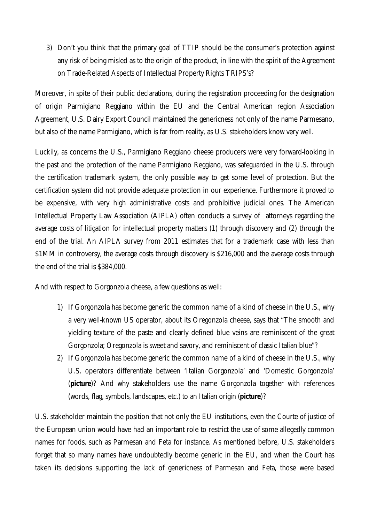3) Don't you think that the primary goal of TTIP should be the consumer's protection against any risk of being misled as to the origin of the product, in line with the spirit of the Agreement on Trade-Related Aspects of Intellectual Property Rights TRIPS's?

Moreover, in spite of their public declarations, during the registration proceeding for the designation of origin Parmigiano Reggiano within the EU and the Central American region Association Agreement, U.S. Dairy Export Council maintained the genericness not only of the name Parmesano, but also of the name Parmigiano, which is far from reality, as U.S. stakeholders know very well.

Luckily, as concerns the U.S., Parmigiano Reggiano cheese producers were very forward-looking in the past and the protection of the name Parmigiano Reggiano, was safeguarded in the U.S. through the certification trademark system, the only possible way to get some level of protection. But the certification system did not provide adequate protection in our experience. Furthermore it proved to be expensive, with very high administrative costs and prohibitive judicial ones. The American Intellectual Property Law Association (AIPLA) often conducts a survey of attorneys regarding the average costs of litigation for intellectual property matters (1) through discovery and (2) through the end of the trial. An AIPLA survey from 2011 estimates that for a trademark case with less than \$1MM in controversy, the average costs through discovery is \$216,000 and the average costs through the end of the trial is \$384,000.

And with respect to Gorgonzola cheese, a few questions as well:

- 1) If Gorgonzola has become generic the common name of a kind of cheese in the U.S., why a very well-known US operator, about its Oregonzola cheese, says that "*The smooth and yielding texture of the paste and clearly defined blue veins are reminiscent of the great Gorgonzola; Oregonzola is sweet and savory, and reminiscent of classic Italian blue*"?
- 2) If Gorgonzola has become generic the common name of a kind of cheese in the U.S., why U.S. operators differentiate between 'Italian Gorgonzola' and 'Domestic Gorgonzola' (**picture**)? And why stakeholders use the name Gorgonzola together with references (words, flag, symbols, landscapes, etc.) to an Italian origin (**picture**)?

U.S. stakeholder maintain the position that not only the EU institutions, even the Courte of justice of the European union would have had an important role to restrict the use of some allegedly common names for foods, such as Parmesan and Feta for instance. As mentioned before, U.S. stakeholders forget that so many names have undoubtedly become generic in the EU, and when the Court has taken its decisions supporting the lack of genericness of Parmesan and Feta, those were based